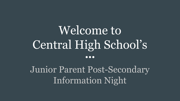## Welcome to Central High School's ...

Junior Parent Post-Secondary Information Night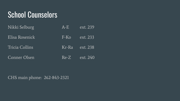#### School Counselors

| Nikki Selburg  | $A-E$  | ext. 239 |
|----------------|--------|----------|
| Elisa Rosenick | F-Ko   | ext. 233 |
| Tricia Collins | Kr-Ra  | ext. 238 |
| Conner Olsen   | $Re-Z$ | ext. 240 |

CHS main phone: 262-843-2321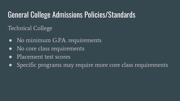Technical College

- No minimum G.P.A. requirements
- No core class requirements
- Placement test scores
- Specific programs may require more core class requirements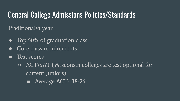Traditional/4 year

- Top 50% of graduation class
- Core class requirements
- Test scores
	- ACT/SAT (Wisconsin colleges are test optional for current Juniors)
		- Average ACT: 18-24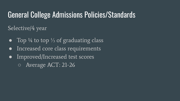Selective/4 year

- Top ¼ to top  $\frac{1}{3}$  of graduating class
- Increased core class requirements
- Improved/Increased test scores
	- Average ACT: 21-26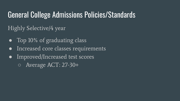Highly Selective/4 year

- Top 10% of graduating class
- Increased core classes requirements
- Improved/Increased test scores
	- Average ACT: 27-30+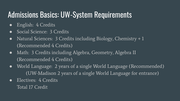#### Admissions Basics: UW-System Requirements

- English: 4 Credits
- Social Science: 3 Credits
- Natural Sciences: 3 Credits including Biology, Chemistry + 1 (Recommended 4 Credits)
- Math: 3 Credits including Algebra, Geometry, Algebra II (Recommended 4 Credits)
- World Language: 2 years of a single World Language (Recommended) (UW-Madison 2 years of a single World Language for entrance)
- Electives: 4 Credits Total 17 Credit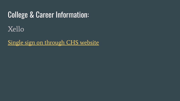#### College & Career Information:

Xello

[Single sign on through CHS website](http://www.westosha.k12.wi.us/)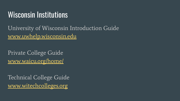#### Wisconsin Institutions

University of Wisconsin Introduction Guide [www.uwhelp.wisconsin.edu](http://www.uwhelp.wisconsin.edu)

Private College Guide [www.waicu.org/home/](http://www.waicu.org/home/)

Technical College Guide [www.witechcolleges.org](http://www.witechcolleges.org)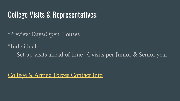#### College Visits & Representatives:

\*Preview Days/Open Houses

\*Individual Set up visits ahead of time : 4 visits per Junior & Senior year

[College & Armed Forces Contact Info](https://docs.google.com/document/d/1yE6pAppQeHxr-C8JvVCvYjrIyZ_wsccH_B2avLyqxdE/edit?usp=sharing)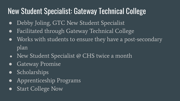## New Student Specialist: Gateway Technical College

- Debby Joling, GTC New Student Specialist
- Facilitated through Gateway Technical College
- Works with students to ensure they have a post-secondary plan
- New Student Specialist @ CHS twice a month
- Gateway Promise
- **Scholarships**
- Apprenticeship Programs
- Start College Now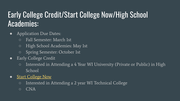### Early College Credit/Start College Now/High School Academies:

- **•** Application Due Dates:
	- Fall Semester: March 1st
	- High School Academies: May 1st
	- Spring Semester: October 1st
- Early College Credit
	- Interested in Attending a 4 Year WI University (Private or Public) in High School
- [Start College Now](https://www.gtc.edu/admissions/audience/high-school-students/earn-college-credit-high-school)
	- Interested in Attending a 2 year WI Technical College
	- CNA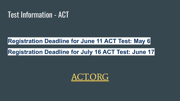#### Test Information - ACT

#### **Registration Deadline for June 11 ACT Test: May 6**

#### **Registration Deadline for July 16 ACT Test: June 17**

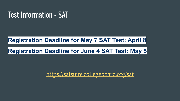#### Test Information - SAT

#### **Registration Deadline for May 7 SAT Test: April 8**

#### **Registration Deadline for June 4 SAT Test: May 5**

<https://satsuite.collegeboard.org/sat>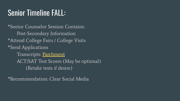## Senior Timeline FALL:

\*Senior Counselor Session Contains: Post-Secondary Information \*Attend College Fairs / College Visits \*Send Applications Transcripts: [Parchment](https://www.westosha.k12.wi.us/transcript-request) ACT/SAT Test Scores (May be optional) (Retake tests if desire)

\*Recommendation: Clear Social Media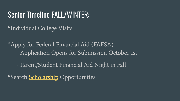#### Senior Timeline FALL/WINTER:

\*Individual College Visits

\*Apply for Federal Financial Aid (FAFSA) - Application Opens for Submission October 1st

- Parent/Student Financial Aid Night in Fall

\*Search [Scholarship](https://docs.google.com/spreadsheets/d/1STBHvIn9j5TYMpgw8bLqYKD3gdf85wzkFrJ_dhGpq48/edit?usp=sharing) Opportunities